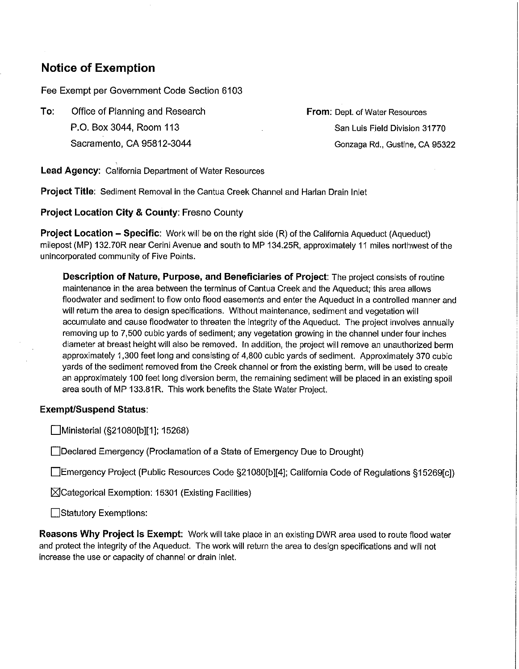## **Notice of Exemption**

Fee Exempt per Government Code Section 6103

**To:** Office of Planning and Research P.O. Box 3044, Room 113 Sacramento, CA 95812-3044

**From:** Dept. of Water Resources San Luis Field Division 31770 Gonzaga Rd., Gustine, CA 95322

**Lead Agency:** California Department of Water Resources

**Project Title:** Sediment Removal in the Cantua Creek Channel and Harlan Drain Inlet

**Project Location City & County:** Fresno County

**Project Location - Specific:** Work will be on the right side (R) of the California Aqueduct (Aqueduct) milepost (MP) 132. ?OR near Cerini Avenue and south to MP 134.25R, approximately 11 miles northwest of the unincorporated community of Five Points.

**Description of Nature, Purpose, and Beneficiaries of Project:** The project consists of routine maintenance in the area between the terminus of Cantua Creek and the Aqueduct; this area allows floodwater and sediment to flow onto flood easements and enter the Aqueduct in a controlled manner and will return the area to design specifications. Without maintenance, sediment and vegetation will accumulate and cause floodwater to threaten the integrity of the Aqueduct. The project involves annually removing up to 7,500 cubic yards of sediment; any vegetation growing in the channel under four inches diameter at breast height will also be removed. In addition, the project will remove an unauthorized berm approximately 1,300 feet long and consisting of 4,800 cubic yards of sediment. Approximately 370 cubic yards of the sediment removed from the Creek channel or from the existing berm, will be used to create an approximately 100 feet long diversion berm, the remaining sediment will be placed in an existing spoil area south of MP 133.81R. This work benefits the State Water Project.

## **Exempt/Suspend Status:**

Ministerial (§21080[b][1]; 15268)

Declared Emergency (Proclamation of a State of Emergency Due to Drought)

Emergency Project (Public Resources Code §21080[b][4]; California Code of Regulations §15269[c])

 $\boxtimes$ Categorical Exemption: 15301 (Existing Facilities)

Statutory Exemptions:

**Reasons Why Project Is Exempt:** Work will take place in an existing DWR area used to route flood water and protect the integrity of the Aqueduct. The work will return the area to design specifications and will not increase the use or capacity of channel or drain inlet.